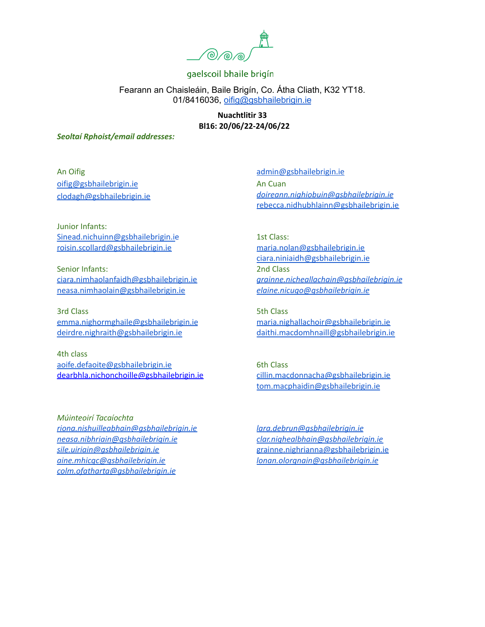

Fearann an Chaisleáin, Baile Brigín, Co. Átha Cliath, K32 YT18. 01/8416036, [oifig@gsbhailebrigin.ie](mailto:oifig@gsbhailebrigin.ie)

> **Nuachtlitir 33 Bl16: 20/06/22-24/06/22**

*Seoltaí Rphoist/email addresses:*

An Oifig [oifig@gsbhailebrigin.ie](mailto:oifig@gsbhailebrigin.ie) [clodagh@gsbhailebrigin.ie](mailto:clodagh@gsbhailebrigin.ie)

[admin@gsbhailebrigin.ie](mailto:admin@gsbhailebrigin.ie) An Cuan *[doireann.nighiobuin@gsbhailebrigin.ie](mailto:doireann.nighiobuin@gsbhailebrigin.ie)* [rebecca.nidhubhlainn@gsbhailebrigin.ie](mailto:rebecca.nidhubhlainn@gsbhailebrigin.ie)

Junior Infants: [Sinead.nichuinn@gsbhailebrigin.ie](mailto:Sinead.nichuinn@gsbhailebrigin.ie) [roisin.scollard@gsbhailebrigin.ie](mailto:roisin.scollard@gsbhailebrigin.ie)

Senior Infants: [ciara.nimhaolanfaidh@gsbhailebrigin.ie](mailto:ciara.nimhaolanfaidh@gsbhailebrigin.ie) [neasa.nimhaolain@gsbhailebrigin.ie](mailto:neasa.nimhaolain@gsbhailebrigin.ie)

3rd Class [emma.nighormghaile@gsbhailebrigin.ie](mailto:emma.nighormghaile@gsbhailebrigin.ie) [deirdre.nighraith@gsbhailebrigin.ie](mailto:deirdre.nighraith@gsbhailebrigin.ie)

4th class [aoife.defaoite@gsbhailebrigin.ie](mailto:aoife.defaoite@gsbhailebrigin.ie) dearbhla.nichonchoille@gsbhailebrigin.ie

*Múinteoirí Tacaíochta [riona.nishuilleabhain@gsbhailebrigin.ie](mailto:riona.nishuilleabhain@gsbhailebrigin.ie) [neasa.nibhriain@gsbhailebrigin.ie](mailto:neasa.nibhriain@gsbhailebrigin.ie) [sile.uiriain@gsbhailebrigin.ie](mailto:sile.uiriain@gsbhailebrigin.ie) [aine.mhicgc@gsbhailebrigin.ie](mailto:aine.mhicgc@gsbhailebrigin.ie) [colm.ofatharta@gsbhailebrigin.ie](mailto:colm.ofatharta@gsbhailebrigin.ie)*

1st Class: [maria.nolan@gsbhailebrigin.ie](mailto:maria.nolan@gsbhailebrigin.ie) [ciara.niniaidh@gsbhailebrigin.ie](mailto:ciara.niniaidh@gsbhailebrigin.ie) 2nd Class *[grainne.nicheallachain@gsbhailebrigin.ie](mailto:grainne.nicheallachain@gsbhailebrigin.ie) [elaine.nicugo@gsbhailebrigin.ie](mailto:elaine.nicugo@gsbhailebrigin.ie)*

5th Class [maria.nighallachoir@gsbhailebrigin.ie](mailto:maria.nighallachoir@gsbhailebrigin.ie) [daithi.macdomhnaill@gsbhailebrigin.ie](mailto:daithi.macdomhnaill@gsbhailebrigin.ie)

6th Class [cillin.macdonnacha@gsbhailebrigin.ie](mailto:cillin.macdonnacha@gsbhailebrigin.ie) [tom.macphaidin@gsbhailebrigin.ie](mailto:tom.macphaidin@gsbhailebrigin.ie)

*[lara.debrun@gsbhailebrigin.ie](mailto:lara.debrun@gsbhailebrigin.ie) [clar.nighealbhain@gsbhailebrigin.ie](mailto:clar.nighealbhain@gsbhailebrigin.ie)* [grainne.nighrianna@gsbhailebrigin.ie](mailto:grainne.nighrianna@gsbhailebrigin.ie) *[lonan.olorgnain@gsbhailebrigin.ie](mailto:lonan.olorgnain@gsbhailebrigin.ie)*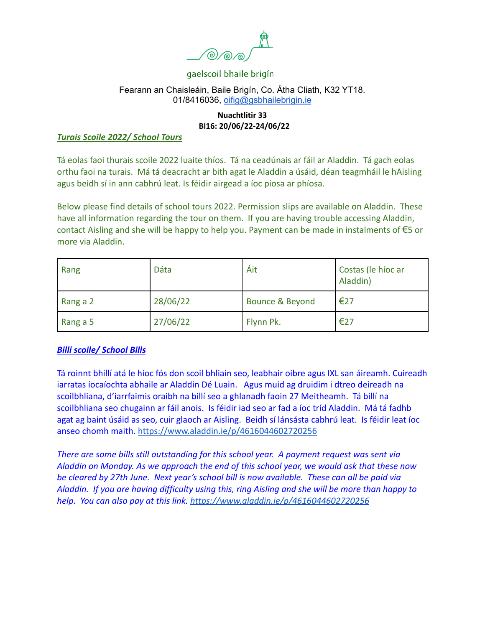

## Fearann an Chaisleáin, Baile Brigín, Co. Átha Cliath, K32 YT18. 01/8416036, [oifig@gsbhailebrigin.ie](mailto:oifig@gsbhailebrigin.ie)

## **Nuachtlitir 33 Bl16: 20/06/22-24/06/22**

#### *Turais Scoile 2022/ School Tours*

Tá eolas faoi thurais scoile 2022 luaite thíos. Tá na ceadúnais ar fáil ar Aladdin. Tá gach eolas orthu faoi na turais. Má tá deacracht ar bith agat le Aladdin a úsáid, déan teagmháil le hAisling agus beidh sí in ann cabhrú leat. Is féidir airgead a íoc píosa ar phíosa.

Below please find details of school tours 2022. Permission slips are available on Aladdin. These have all information regarding the tour on them. If you are having trouble accessing Aladdin, contact Aisling and she will be happy to help you. Payment can be made in instalments of  $\epsilon$ 5 or more via Aladdin.

| Rang     | Dáta     | Áit             | Costas (le híoc ar<br>Aladdin) |
|----------|----------|-----------------|--------------------------------|
| Rang a 2 | 28/06/22 | Bounce & Beyond | €27                            |
| Rang a 5 | 27/06/22 | Flynn Pk.       | €27                            |

## *Billí scoile/ School Bills*

Tá roinnt bhillí atá le híoc fós don scoil bhliain seo, leabhair oibre agus IXL san áireamh. Cuireadh iarratas íocaíochta abhaile ar Aladdin Dé Luain. Agus muid ag druidim i dtreo deireadh na scoilbhliana, d'iarrfaimis oraibh na billí seo a ghlanadh faoin 27 Meitheamh. Tá billí na scoilbhliana seo chugainn ar fáil anois. Is féidir iad seo ar fad a íoc tríd Aladdin. Má tá fadhb agat ag baint úsáid as seo, cuir glaoch ar Aisling. Beidh sí lánsásta cabhrú leat. Is féidir leat íoc anseo chomh maith. <https://www.aladdin.ie/p/4616044602720256>

*There are some bills still outstanding for this school year. A payment request was sent via Aladdin on Monday. As we approach the end of this school year, we would ask that these now be cleared by 27th June. Next year's school bill is now available. These can all be paid via Aladdin. If you are having difficulty using this, ring Aisling and she will be more than happy to help. You can also pay at this link. <https://www.aladdin.ie/p/4616044602720256>*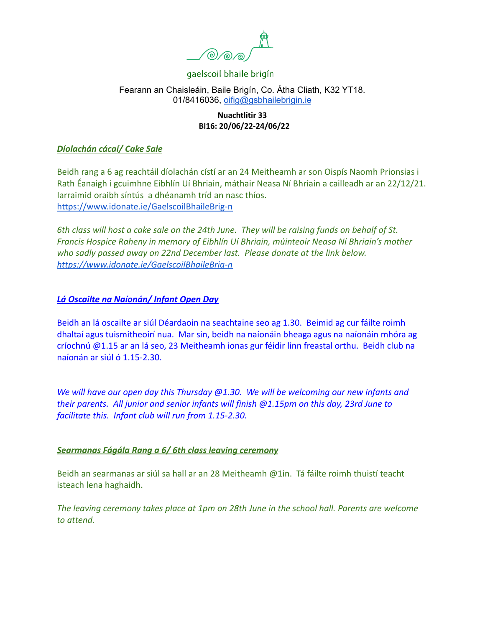

## Fearann an Chaisleáin, Baile Brigín, Co. Átha Cliath, K32 YT18. 01/8416036, [oifig@gsbhailebrigin.ie](mailto:oifig@gsbhailebrigin.ie)

## **Nuachtlitir 33 Bl16: 20/06/22-24/06/22**

## *Díolachán cácaí/ Cake Sale*

Beidh rang a 6 ag reachtáil díolachán cístí ar an 24 Meitheamh ar son Oispís Naomh Prionsias i Rath Éanaigh i gcuimhne Eibhlín Uí Bhriain, máthair Neasa Ní Bhriain a cailleadh ar an 22/12/21. Iarraimid oraibh síntús a dhéanamh tríd an nasc thíos. <https://www.idonate.ie/GaelscoilBhaileBrig-n>

*6th class will host a cake sale on the 24th June. They will be raising funds on behalf of St. Francis Hospice Raheny in memory of Eibhlín Uí Bhriain, múinteoir Neasa Ní Bhriain's mother who sadly passed away on 22nd December last. Please donate at the link below. <https://www.idonate.ie/GaelscoilBhaileBrig-n>*

#### *Lá Oscailte na Naíonán/ Infant Open Day*

Beidh an lá oscailte ar siúl Déardaoin na seachtaine seo ag 1.30. Beimid ag cur fáilte roimh dhaltaí agus tuismitheoirí nua. Mar sin, beidh na naíonáin bheaga agus na naíonáin mhóra ag críochnú @1.15 ar an lá seo, 23 Meitheamh ionas gur féidir linn freastal orthu. Beidh club na naíonán ar siúl ó 1.15-2.30.

*We will have our open day this Thursday @1.30. We will be welcoming our new infants and their parents. All junior and senior infants will finish @1.15pm on this day, 23rd June to facilitate this. Infant club will run from 1.15-2.30.*

#### *Searmanas Fágála Rang a 6/ 6th class leaving ceremony*

Beidh an searmanas ar siúl sa hall ar an 28 Meitheamh @1in. Tá fáilte roimh thuistí teacht isteach lena haghaidh.

*The leaving ceremony takes place at 1pm on 28th June in the school hall. Parents are welcome to attend.*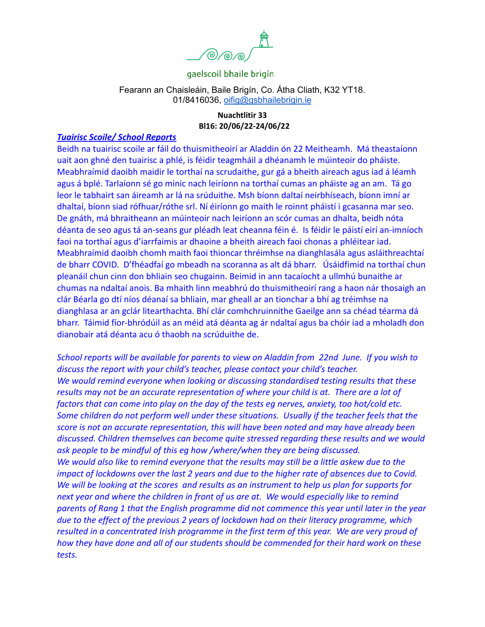

#### Fearann an Chaisleáin, Baile Brigín, Co. Átha Cliath, K32 YT18. 01/8416036, [oifig@gsbhailebrigin.ie](mailto:oifig@gsbhailebrigin.ie)

#### **Nuachtlitir 33 Bl16: 20/06/22-24/06/22**

#### *Tuairisc Scoile/ School Reports*

Beidh na tuairisc scoile ar fáil do thuismitheoirí ar Aladdin ón 22 Meitheamh. Má theastaíonn uait aon ghné den tuairisc a phlé, is féidir teagmháil a dhéanamh le múinteoir do pháiste. Meabhraímid daoibh maidir le torthaí na scrudaithe, gur gá a bheith aireach agus iad á léamh agus á bplé. Tarlaíonn sé go minic nach leiríonn na torthaí cumas an pháiste ag an am. Tá go leor le tabhairt san áireamh ar lá na srúduithe. Msh bíonn daltaí neirbhíseach, bíonn imní ar dhaltaí, bíonn siad rófhuar/róthe srl. Ní éiríonn go maith le roinnt pháistí i gcasanna mar seo. De gnáth, má bhraitheann an múinteoir nach leiríonn an scór cumas an dhalta, beidh nóta déanta de seo agus tá an-seans gur pléadh leat cheanna féin é. Is féidir le páistí eirí an-imníoch faoi na torthaí agus d'iarrfaimis ar dhaoine a bheith aireach faoi chonas a phléitear iad. Meabhraímid daoibh chomh maith faoi thioncar thréimhse na dianghlasála agus asláithreachtaí de bharr COVID. D'fhéadfaí go mbeadh na scoranna as alt dá bharr. Úsáidfimid na torthaí chun pleanáil chun cinn don bhliain seo chugainn. Beimid in ann tacaíocht a ullmhú bunaithe ar chumas na ndaltaí anois. Ba mhaith linn meabhrú do thuismitheoirí rang a haon nár thosaigh an clár Béarla go dtí níos déanaí sa bhliain, mar gheall ar an tionchar a bhí ag tréimhse na dianghlasa ar an gclár litearthachta. Bhí clár comhchruinnithe Gaeilge ann sa chéad téarma dá bharr. Táimid fíor-bhródúil as an méid atá déanta ag ár ndaltaí agus ba chóir iad a mholadh don dianobair atá déanta acu ó thaobh na scrúduithe de.

*School reports will be available for parents to view on Aladdin from 22nd June. If you wish to discuss the report with your child's teacher, please contact your child's teacher. We would remind everyone when looking or discussing standardised testing results that these results may not be an accurate representation of where your child is at. There are a lot of factors that can come into play on the day of the tests eg nerves, anxiety, too hot/cold etc. Some children do not perform well under these situations. Usually if the teacher feels that the score is not an accurate representation, this will have been noted and may have already been discussed. Children themselves can become quite stressed regarding these results and we would ask people to be mindful of this eg how /where/when they are being discussed. We would also like to remind everyone that the results may still be a little askew due to the impact of lockdowns over the last 2 years and due to the higher rate of absences due to Covid. We will be looking at the scores and results as an instrument to help us plan for supports for next year and where the children in front of us are at. We would especially like to remind parents of Rang 1 that the English programme did not commence this year until later in the year due to the effect of the previous 2 years of lockdown had on their literacy programme, which resulted in a concentrated Irish programme in the first term of this year. We are very proud of how they have done and all of our students should be commended for their hard work on these tests.*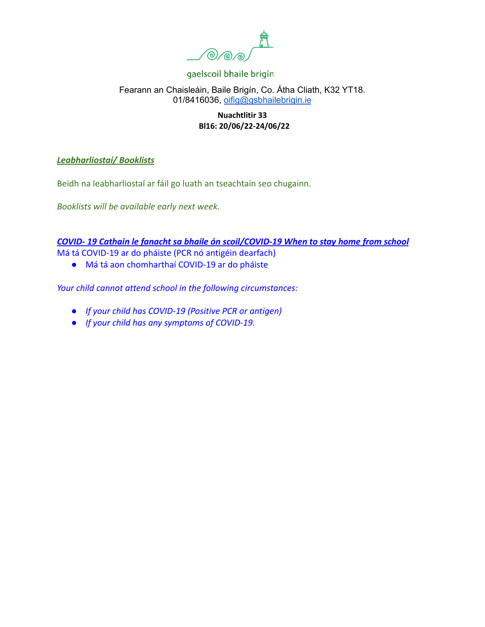

## Fearann an Chaisleáin, Baile Brigín, Co. Átha Cliath, K32 YT18. 01/8416036, [oifig@gsbhailebrigin.ie](mailto:oifig@gsbhailebrigin.ie)

## **Nuachtlitir 33 Bl16: 20/06/22-24/06/22**

## *Leabharliostaí/ Booklists*

Beidh na leabharliostaí ar fáil go luath an tseachtain seo chugainn.

*Booklists will be available early next week.*

## *COVID- 19 Cathain le fanacht sa bhaile ón scoil/COVID-19 When to stay home from school*

Má tá COVID-19 ar do pháiste (PCR nó antigéin dearfach)

● Má tá aon chomharthaí COVID-19 ar do pháiste

*Your child cannot attend school in the following circumstances:*

- *● If your child has COVID-19 (Positive PCR or antigen)*
- *● If your child has any symptoms of COVID-19.*